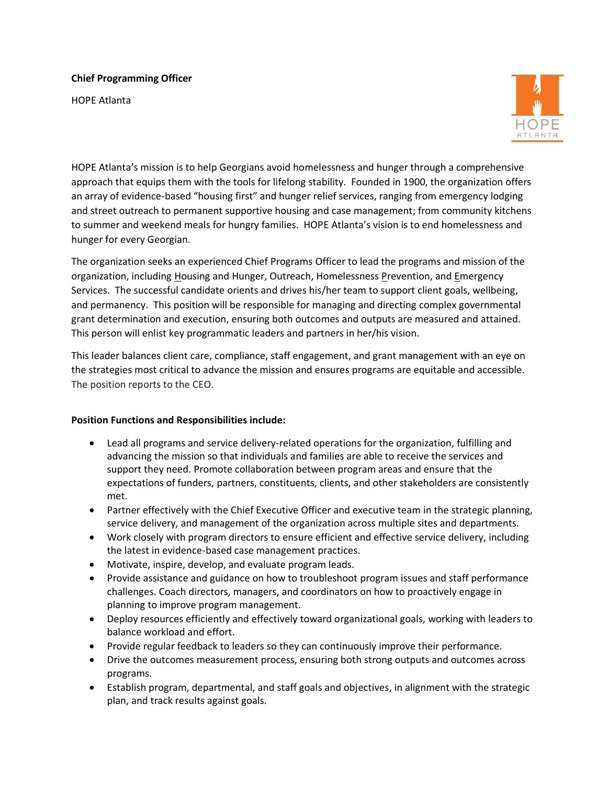## **Chief Programming Officer**

HOPE Atlanta



HOPE Atlanta's mission is to help Georgians avoid homelessness and hunger through a comprehensive approach that equips them with the tools for lifelong stability. Founded in 1900, the organization offers an array of evidence-based "housing first" and hunger relief services, ranging from emergency lodging and street outreach to permanent supportive housing and case management; from community kitchens to summer and weekend meals for hungry families. HOPE Atlanta's vision is to end homelessness and hunger for every Georgian.

The organization seeks an experienced Chief Programs Officer to lead the programs and mission of the organization, including Housing and Hunger, Outreach, Homelessness Prevention, and Emergency Services. The successful candidate orients and drives his/her team to support client goals, wellbeing, and permanency. This position will be responsible for managing and directing complex governmental grant determination and execution, ensuring both outcomes and outputs are measured and attained. This person will enlist key programmatic leaders and partners in her/his vision.

This leader balances client care, compliance, staff engagement, and grant management with an eye on the strategies most critical to advance the mission and ensures programs are equitable and accessible. The position reports to the CEO.

## **Position Functions and Responsibilities include:**

- Lead all programs and service delivery-related operations for the organization, fulfilling and advancing the mission so that individuals and families are able to receive the services and support they need. Promote collaboration between program areas and ensure that the expectations of funders, partners, constituents, clients, and other stakeholders are consistently met.
- Partner effectively with the Chief Executive Officer and executive team in the strategic planning, service delivery, and management of the organization across multiple sites and departments.
- Work closely with program directors to ensure efficient and effective service delivery, including the latest in evidence-based case management practices.
- Motivate, inspire, develop, and evaluate program leads.
- Provide assistance and guidance on how to troubleshoot program issues and staff performance challenges. Coach directors, managers, and coordinators on how to proactively engage in planning to improve program management.
- Deploy resources efficiently and effectively toward organizational goals, working with leaders to balance workload and effort.
- Provide regular feedback to leaders so they can continuously improve their performance.
- Drive the outcomes measurement process, ensuring both strong outputs and outcomes across programs.
- Establish program, departmental, and staff goals and objectives, in alignment with the strategic plan, and track results against goals.